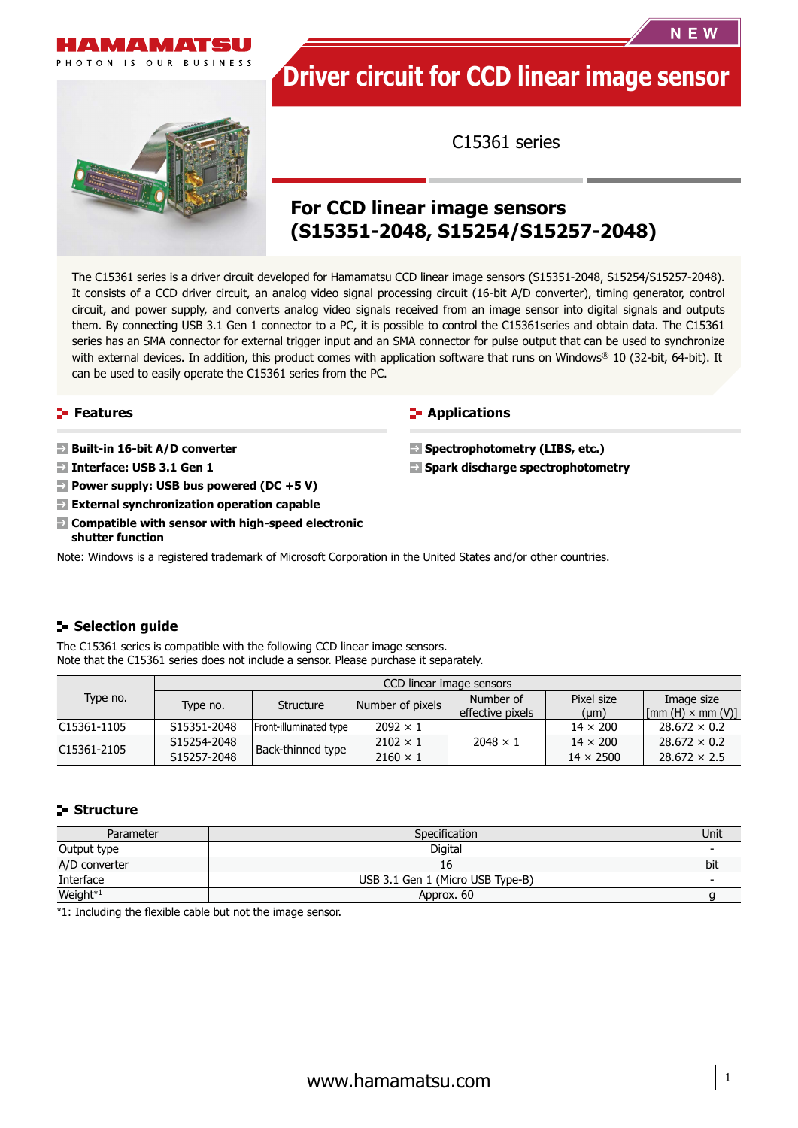

# **Driver circuit for CCD linear image sensor**

C15361 series

## **For CCD linear image sensors (S15351-2048, S15254/S15257-2048)**

The C15361 series is a driver circuit developed for Hamamatsu CCD linear image sensors (S15351-2048, S15254/S15257-2048). It consists of a CCD driver circuit, an analog video signal processing circuit (16-bit A/D converter), timing generator, control circuit, and power supply, and converts analog video signals received from an image sensor into digital signals and outputs them. By connecting USB 3.1 Gen 1 connector to a PC, it is possible to control the C15361series and obtain data. The C15361 series has an SMA connector for external trigger input and an SMA connector for pulse output that can be used to synchronize with external devices. In addition, this product comes with application software that runs on Windows® 10 (32-bit, 64-bit). It can be used to easily operate the C15361 series from the PC.

#### **Features**

 **Built-in 16-bit A/D converter**

- **Interface: USB 3.1 Gen 1**
- **Power supply: USB bus powered (DC +5 V)**
- **External synchronization operation capable**
- **Compatible with sensor with high-speed electronic shutter function**

#### **F** Applications

- **B** Spectrophotometry (LIBS, etc.)
- **B** Spark discharge spectrophotometry

Note: Windows is a registered trademark of Microsoft Corporation in the United States and/or other countries.

#### **Selection guide**

The C15361 series is compatible with the following CCD linear image sensors. Note that the C15361 series does not include a sensor. Please purchase it separately.

| Type no.    | CCD linear image sensors |                        |                  |                  |                  |                                                           |  |  |
|-------------|--------------------------|------------------------|------------------|------------------|------------------|-----------------------------------------------------------|--|--|
|             | Type no.                 | Structure              | Number of pixels | Number of        | Pixel size       | Image size                                                |  |  |
|             |                          |                        |                  | effective pixels | $(\mu m)$        | $\lfloor \lceil \text{mm(H)} \times \text{mm(V)} \rfloor$ |  |  |
| C15361-1105 | S15351-2048              | Front-illuminated type | $2092 \times 1$  |                  | $14 \times 200$  | $28.672 \times 0.2$                                       |  |  |
| C15361-2105 | S15254-2048              |                        | $2102 \times 1$  | $2048 \times 1$  | $14 \times 200$  | $28.672 \times 0.2$                                       |  |  |
|             | S15257-2048              | Back-thinned type      | $2160 \times 1$  |                  | $14 \times 2500$ | $28.672 \times 2.5$                                       |  |  |

#### **Structure**

| Parameter            | Specification                    | Unit |
|----------------------|----------------------------------|------|
| Output type          | Digital                          |      |
| A/D converter        | 16                               | bit  |
| Interface            | USB 3.1 Gen 1 (Micro USB Type-B) |      |
| Weight <sup>*1</sup> | Approx. 60                       |      |

\*1: Including the flexible cable but not the image sensor.



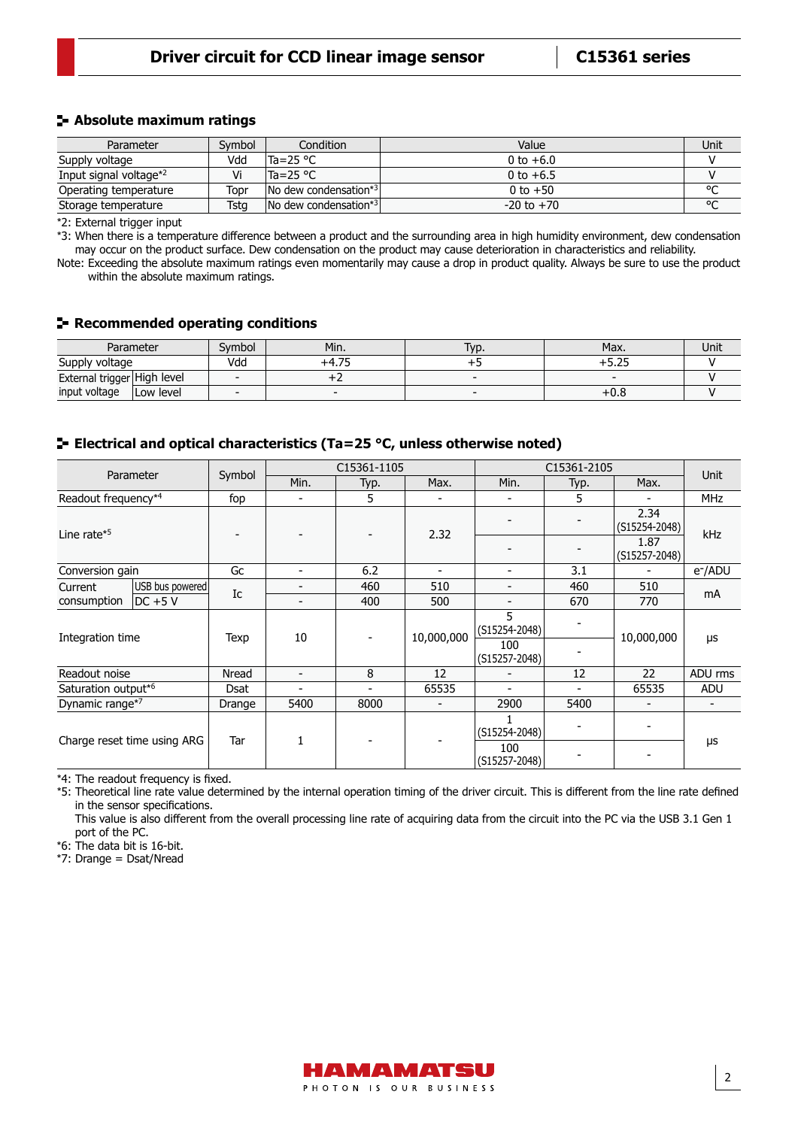#### **Absolute maximum ratings**

| Parameter                          | Svmbol | Condition                          | Value          | Unit   |
|------------------------------------|--------|------------------------------------|----------------|--------|
| Supply voltage                     | Vdd    | lTa=25 °C                          | 0 to $+6.0$    |        |
| Input signal voltage <sup>*2</sup> | Vi     | lTa=25 °C                          | 0 to $+6.5$    |        |
| Operating temperature              | Topr   | INo dew condensation* <sup>3</sup> | 0 to $+50$     | $\sim$ |
| Storage temperature                | Tsta   | No dew condensation*3              | $-20$ to $+70$ | $\sim$ |

\*2: External trigger input

\*3: When there is a temperature difference between a product and the surrounding area in high humidity environment, dew condensation may occur on the product surface. Dew condensation on the product may cause deterioration in characteristics and reliability.

Note: Exceeding the absolute maximum ratings even momentarily may cause a drop in product quality. Always be sure to use the product within the absolute maximum ratings.

#### **Recommended operating conditions**

| Parameter                   |            | Svmbol | Min.                     | VD. | Max.   | Unit |
|-----------------------------|------------|--------|--------------------------|-----|--------|------|
| Supply voltage              |            | Vdd    | --<br>−⊤.∠ –             |     | ں ے رب |      |
| External trigger High level |            |        |                          |     |        |      |
| input voltage               | lLow level |        | $\overline{\phantom{a}}$ |     | $+0.0$ |      |

#### **E** Electrical and optical characteristics (Ta=25 °C, unless otherwise noted)

| Parameter                       |                 |          | C15361-1105              |      |            | C15361-2105              |                |                           | <b>Unit</b>         |
|---------------------------------|-----------------|----------|--------------------------|------|------------|--------------------------|----------------|---------------------------|---------------------|
|                                 |                 | Symbol   | Min.                     | Typ. | Max.       | Min.                     | Typ.           | Max.                      |                     |
| Readout frequency <sup>*4</sup> |                 | fop      |                          | 5    |            |                          | 5.             |                           | <b>MHz</b>          |
| Line rate $*5$                  |                 |          |                          |      | 2.32       |                          |                | 2.34<br>(S15254-2048)     | kHz                 |
|                                 |                 |          |                          |      |            |                          |                | 1.87<br>$(G15257 - 2048)$ |                     |
| Conversion gain                 |                 | Gc       | $\overline{\phantom{0}}$ | 6.2  |            | -                        | 3.1            |                           | e <sup>-</sup> /ADU |
| Current                         | USB bus powered | Ic       |                          | 460  | 510        | -                        | 460            | 510                       | mA                  |
| consumption                     | $DC + 5V$       |          | $\overline{\phantom{a}}$ | 400  | 500        | -                        | 670            | 770                       |                     |
| Integration time                |                 | Texp     | 10                       |      | 10,000,000 | 5<br>(S15254-2048)       |                | 10,000,000                | μs                  |
|                                 |                 |          |                          |      |            | 100<br>$(S15257 - 2048)$ |                |                           |                     |
| Readout noise                   |                 | Nread    | $\overline{\phantom{a}}$ | 8    | 12         |                          | 12             | 22                        | ADU rms             |
| Saturation output*6             |                 | Dsat     | $\overline{\phantom{a}}$ | -    | 65535      | ۰                        | $\blacksquare$ | 65535                     | <b>ADU</b>          |
| Dynamic range*7                 |                 | Drange   | 5400                     | 8000 |            | 2900                     | 5400           |                           |                     |
| Charge reset time using ARG     |                 | 1<br>Tar |                          |      |            | (S15254-2048)            |                |                           |                     |
|                                 |                 |          |                          |      |            | 100<br>$(S15257 - 2048)$ |                |                           | μs                  |

\*4: The readout frequency is fixed.

\*5: Theoretical line rate value determined by the internal operation timing of the driver circuit. This is different from the line rate defined in the sensor specifications.

This value is also different from the overall processing line rate of acquiring data from the circuit into the PC via the USB 3.1 Gen 1 port of the PC.

\*6: The data bit is 16-bit.

\*7: Drange = Dsat/Nread

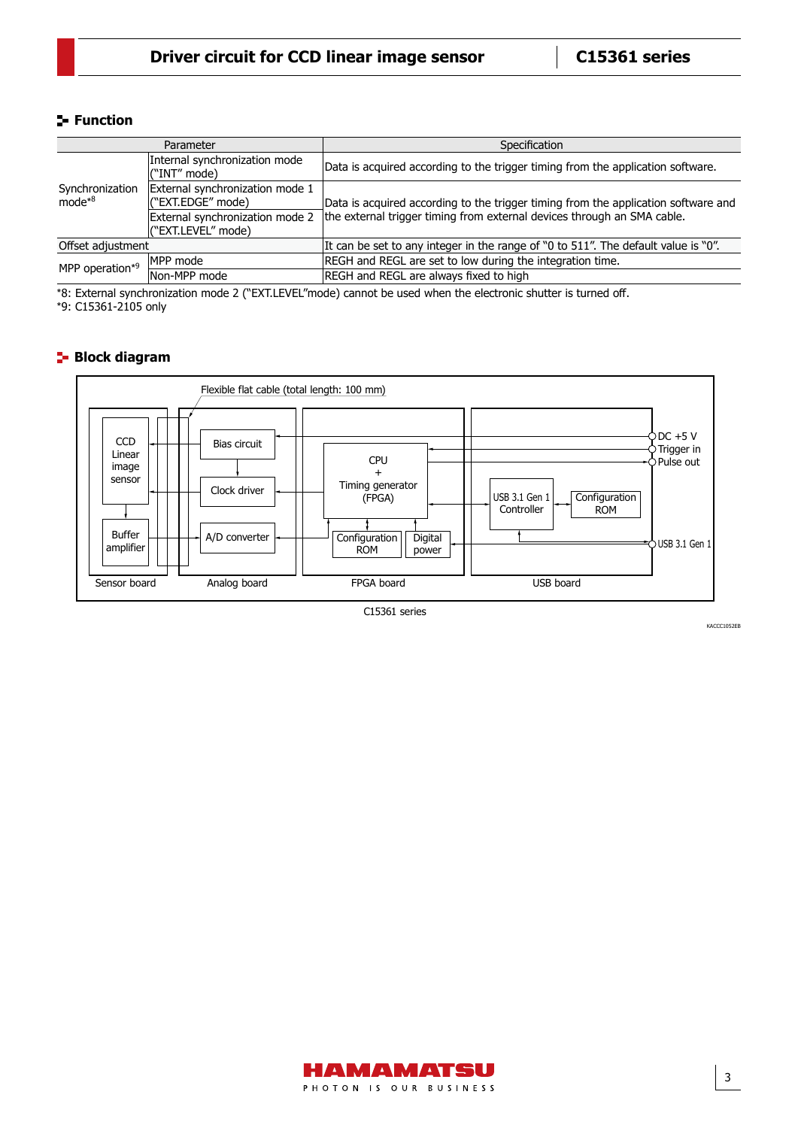#### **Function**

| Parameter                   |                                                       | Specification                                                                      |  |  |
|-----------------------------|-------------------------------------------------------|------------------------------------------------------------------------------------|--|--|
|                             | Internal synchronization mode<br>l("INT" mode)        | Data is acquired according to the trigger timing from the application software.    |  |  |
| Synchronization<br>$mode*8$ | External synchronization mode 1<br>("EXT.EDGE" mode)  | Data is acquired according to the trigger timing from the application software and |  |  |
|                             | External synchronization mode 2<br>("EXT.LEVEL" mode) | the external trigger timing from external devices through an SMA cable.            |  |  |
| Offset adjustment           |                                                       | It can be set to any integer in the range of "0 to 511". The default value is "0". |  |  |
| MPP operation*9             | MPP mode                                              | REGH and REGL are set to low during the integration time.                          |  |  |
|                             | Non-MPP mode                                          | REGH and REGL are always fixed to high                                             |  |  |

\*8: External synchronization mode 2 ("EXT.LEVEL"mode) cannot be used when the electronic shutter is turned off. \*9: C15361-2105 only

### **Block diagram**



C15361 series

KACCC1052EB

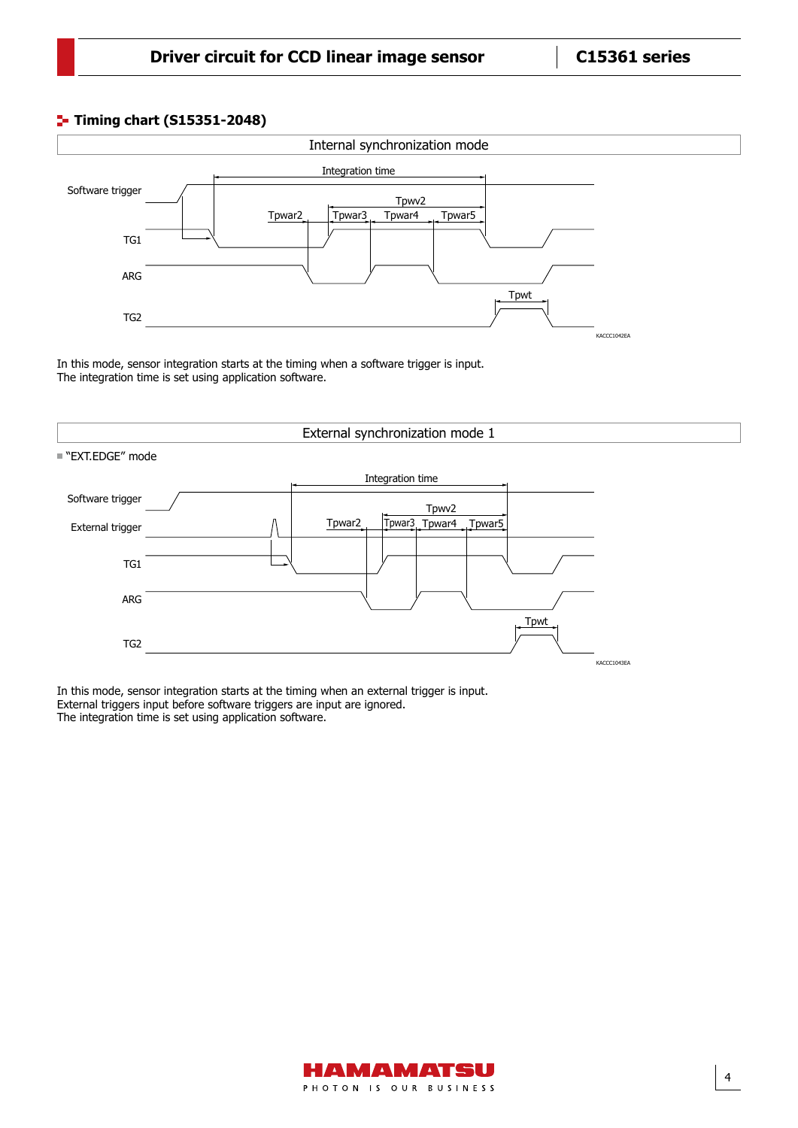#### **Timing chart (S15351-2048)**



In this mode, sensor integration starts at the timing when a software trigger is input. The integration time is set using application software.



In this mode, sensor integration starts at the timing when an external trigger is input. External triggers input before software triggers are input are ignored. The integration time is set using application software.

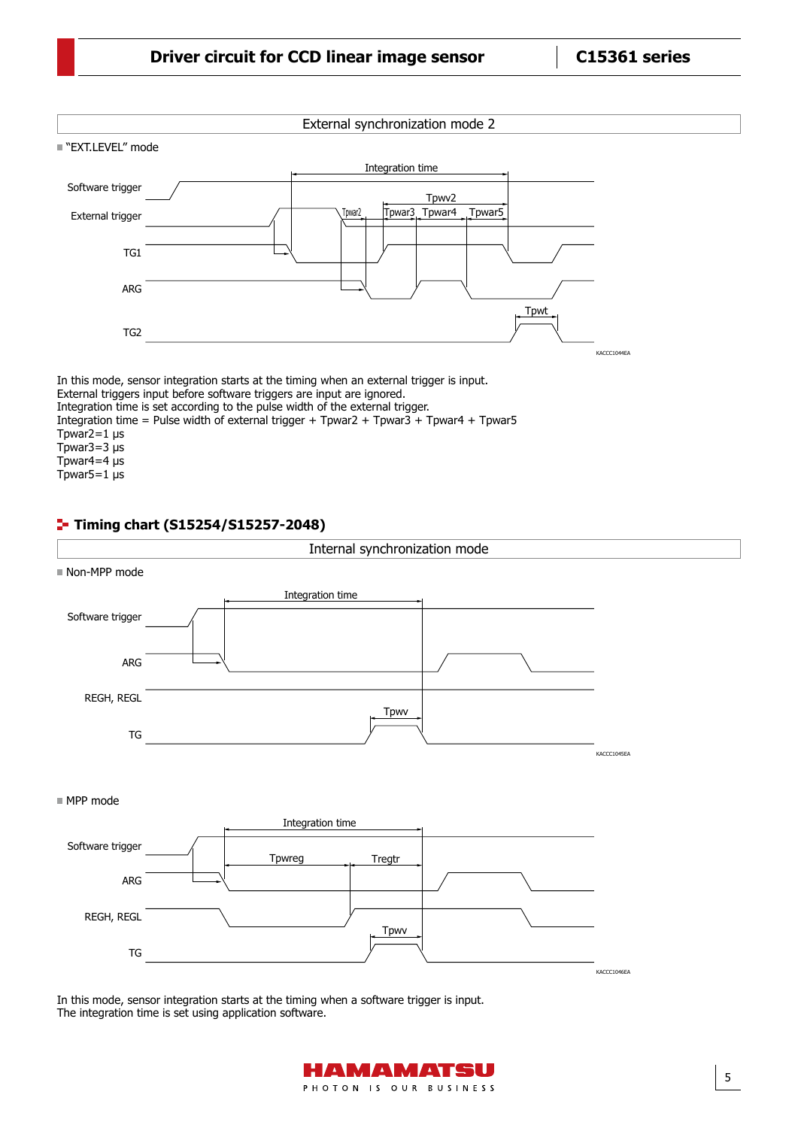

Tpwar3=3  $\mu$ s Tpwar4=4  $\mu$ s

Tpwar5=1  $\mu$ s

#### **Timing chart (S15254/S15257-2048)**



In this mode, sensor integration starts at the timing when a software trigger is input. The integration time is set using application software.

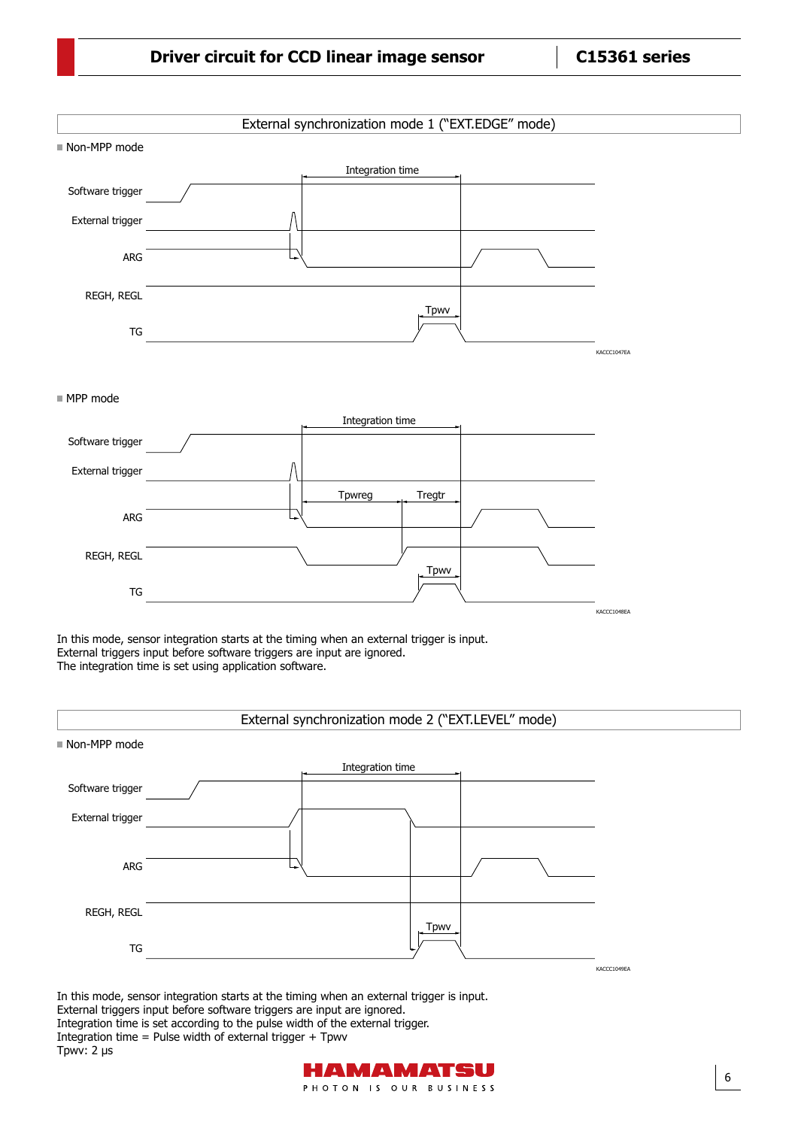|                           | External synchronization mode 1 ("EXT.EDGE" mode)                                                                                                                                                                                                                                                                                                                                      |             |
|---------------------------|----------------------------------------------------------------------------------------------------------------------------------------------------------------------------------------------------------------------------------------------------------------------------------------------------------------------------------------------------------------------------------------|-------------|
| Non-MPP mode              |                                                                                                                                                                                                                                                                                                                                                                                        |             |
|                           | Integration time                                                                                                                                                                                                                                                                                                                                                                       |             |
| Software trigger          |                                                                                                                                                                                                                                                                                                                                                                                        |             |
| External trigger          |                                                                                                                                                                                                                                                                                                                                                                                        |             |
| ARG                       |                                                                                                                                                                                                                                                                                                                                                                                        |             |
|                           |                                                                                                                                                                                                                                                                                                                                                                                        |             |
| REGH, REGL                |                                                                                                                                                                                                                                                                                                                                                                                        |             |
| TG                        | Tpwv                                                                                                                                                                                                                                                                                                                                                                                   |             |
|                           |                                                                                                                                                                                                                                                                                                                                                                                        | KACCC1047EA |
|                           |                                                                                                                                                                                                                                                                                                                                                                                        |             |
| ■ MPP mode                |                                                                                                                                                                                                                                                                                                                                                                                        |             |
|                           | Integration time                                                                                                                                                                                                                                                                                                                                                                       |             |
| Software trigger          |                                                                                                                                                                                                                                                                                                                                                                                        |             |
| External trigger          |                                                                                                                                                                                                                                                                                                                                                                                        |             |
|                           | Tpwreg<br>Tregtr                                                                                                                                                                                                                                                                                                                                                                       |             |
| ARG                       |                                                                                                                                                                                                                                                                                                                                                                                        |             |
| REGH, REGL                |                                                                                                                                                                                                                                                                                                                                                                                        |             |
|                           | Tpwv                                                                                                                                                                                                                                                                                                                                                                                   |             |
| TG                        |                                                                                                                                                                                                                                                                                                                                                                                        | KACCC1048EA |
|                           | In this mode, sensor integration starts at the timing when an external trigger is input.<br>External triggers input before software triggers are input are ignored.<br>The integration time is set using application software.                                                                                                                                                         |             |
|                           | External synchronization mode 2 ("EXT.LEVEL" mode)                                                                                                                                                                                                                                                                                                                                     |             |
| Non-MPP mode              | Integration time                                                                                                                                                                                                                                                                                                                                                                       |             |
| Software trigger          |                                                                                                                                                                                                                                                                                                                                                                                        |             |
| External trigger          |                                                                                                                                                                                                                                                                                                                                                                                        |             |
|                           |                                                                                                                                                                                                                                                                                                                                                                                        |             |
| ARG                       |                                                                                                                                                                                                                                                                                                                                                                                        |             |
|                           |                                                                                                                                                                                                                                                                                                                                                                                        |             |
| REGH, REGL                |                                                                                                                                                                                                                                                                                                                                                                                        |             |
| ${\mathsf T} {\mathsf G}$ | <b>Tpwv</b>                                                                                                                                                                                                                                                                                                                                                                            |             |
|                           |                                                                                                                                                                                                                                                                                                                                                                                        | KACCC1049EA |
| Tpwv: 2 µs                | In this mode, sensor integration starts at the timing when an external trigger is input.<br>External triggers input before software triggers are input are ignored.<br>Integration time is set according to the pulse width of the external trigger.<br>Integration time = Pulse width of external trigger + Tpwv<br>A RW<br>$\blacktriangle$<br>$\blacktriangle$ $\blacktriangledown$ |             |
|                           | PHOTON IS OUR BUSINESS                                                                                                                                                                                                                                                                                                                                                                 | 6           |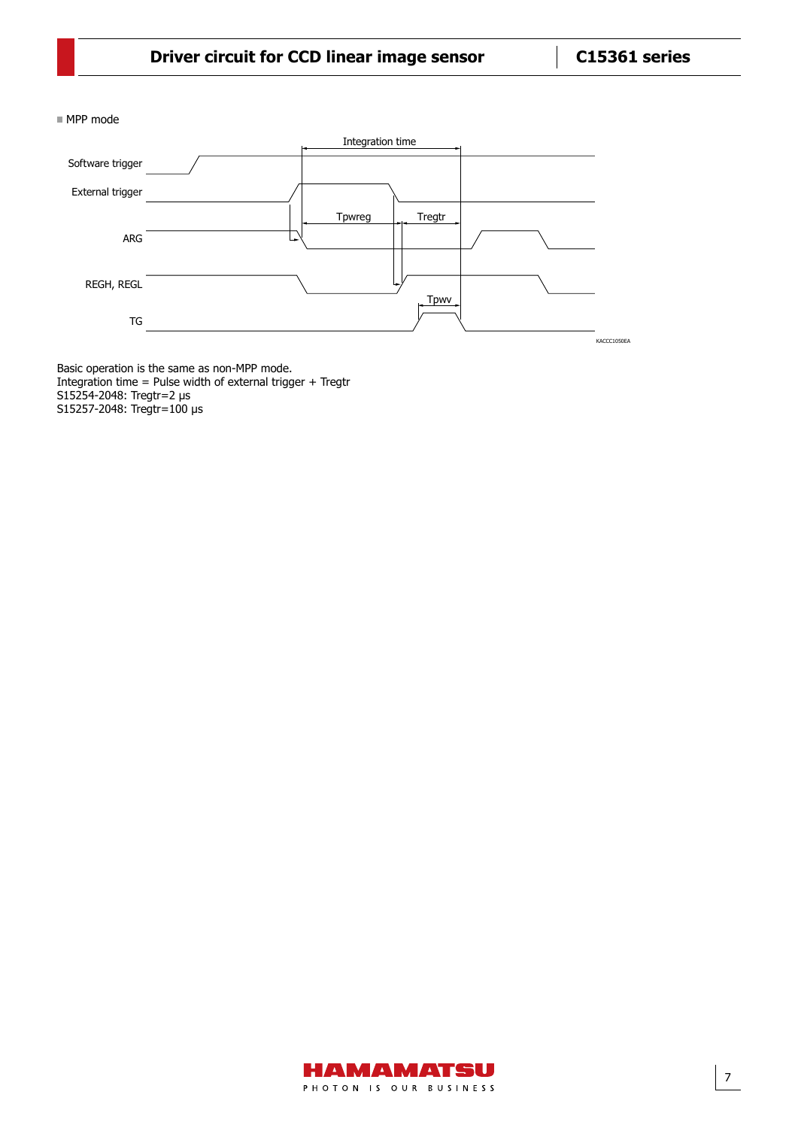MPP mode



Basic operation is the same as non-MPP mode. Integration time = Pulse width of external trigger + Tregtr S15254-2048: Tregtr=2 µs S15257-2048: Tregtr=100 µs

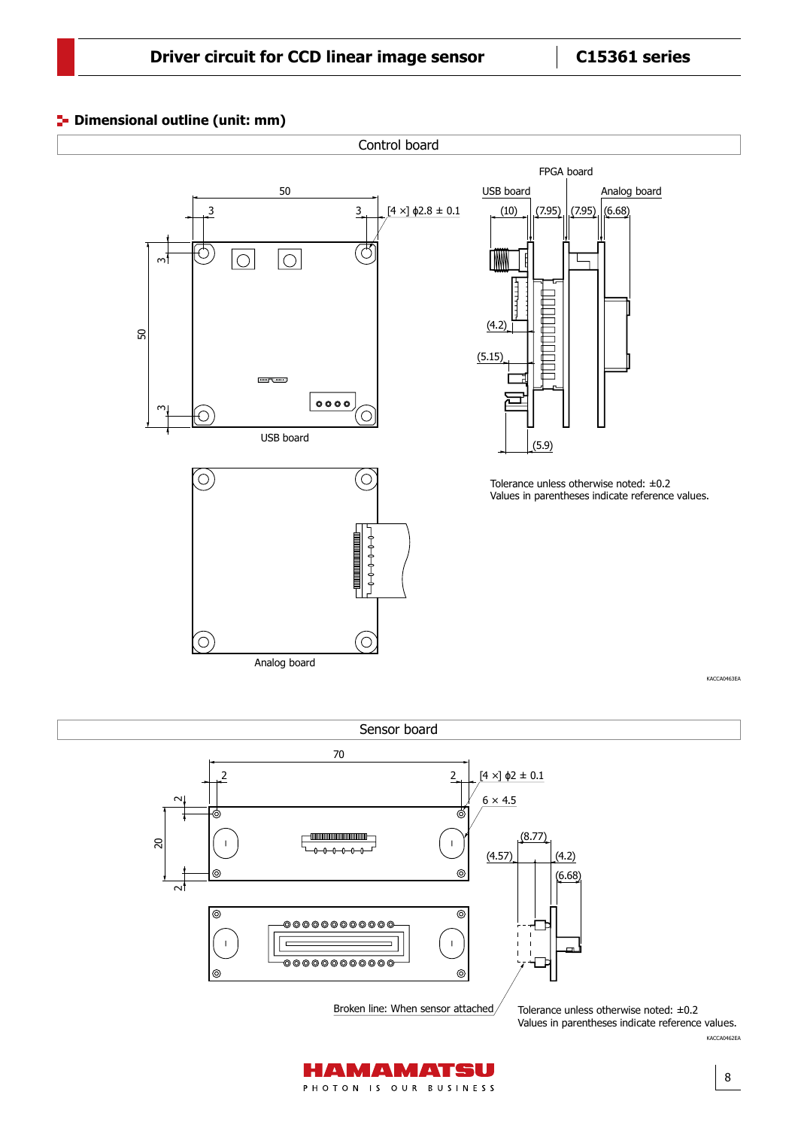#### **P** Dimensional outline (unit: mm)





KACCA0462EA

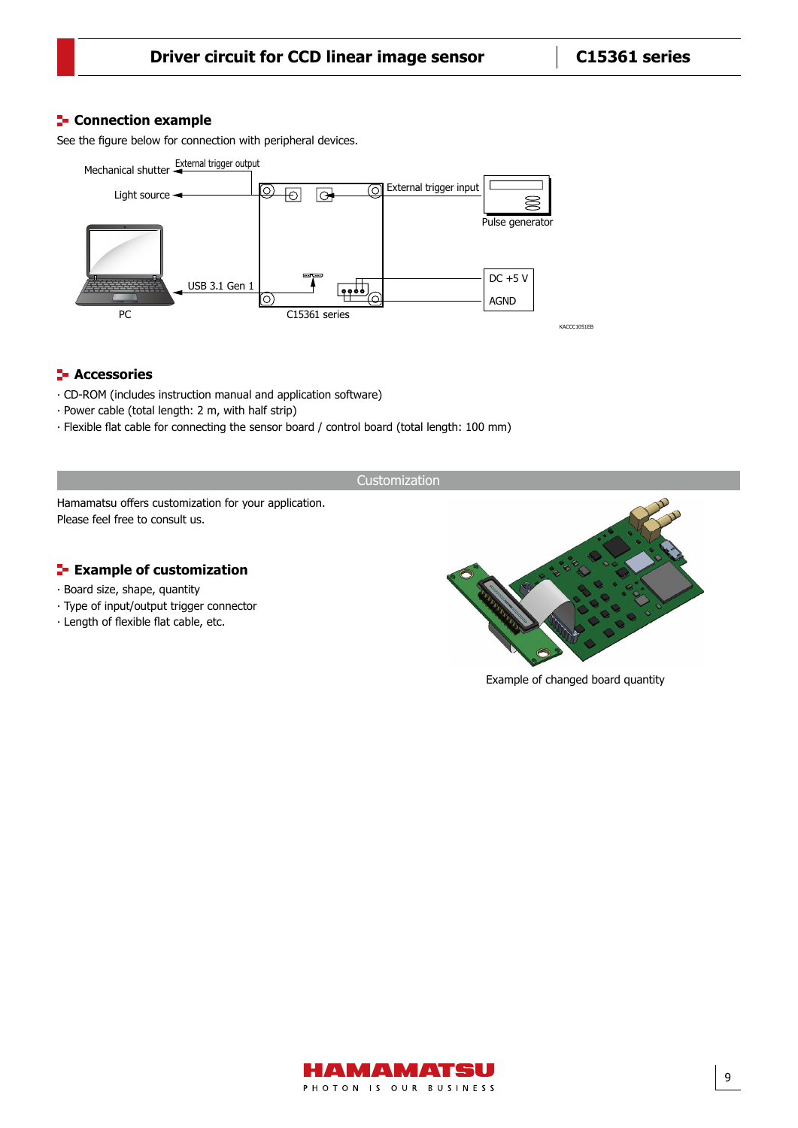#### **Connection example**

See the figure below for connection with peripheral devices.



#### **F** Accessories

- ⸱ CD-ROM (includes instruction manual and application software)
- ⸱ Power cable (total length: 2 m, with half strip)
- ⸱ Flexible flat cable for connecting the sensor board / control board (total length: 100 mm)

Customization

Hamamatsu offers customization for your application. Please feel free to consult us.

#### **Example of customization**

- ⸱ Board size, shape, quantity
- ⸱ Type of input/output trigger connector
- ⸱ Length of flexible flat cable, etc.



KACCC1051EB

Example of changed board quantity